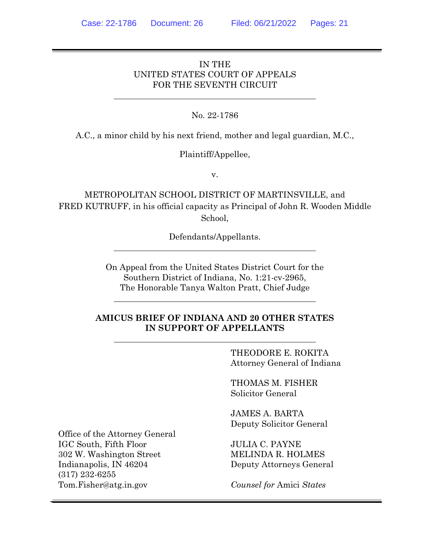## IN THE UNITED STATES COURT OF APPEALS FOR THE SEVENTH CIRCUIT

## No. 22-1786

A.C., a minor child by his next friend, mother and legal guardian, M.C.,

## Plaintiff/Appellee,

v.

METROPOLITAN SCHOOL DISTRICT OF MARTINSVILLE, and FRED KUTRUFF, in his official capacity as Principal of John R. Wooden Middle School,

Defendants/Appellants.

On Appeal from the United States District Court for the Southern District of Indiana, No. 1:21-cv-2965, The Honorable Tanya Walton Pratt, Chief Judge

## **AMICUS BRIEF OF INDIANA AND 20 OTHER STATES IN SUPPORT OF APPELLANTS**

THEODORE E. ROKITA Attorney General of Indiana

THOMAS M. FISHER Solicitor General

JAMES A. BARTA Deputy Solicitor General

JULIA C. PAYNE MELINDA R. HOLMES Deputy Attorneys General

*Counsel for* Amici *States*

Office of the Attorney General IGC South, Fifth Floor 302 W. Washington Street Indianapolis, IN 46204 (317) 232-6255 Tom.Fisher@atg.in.gov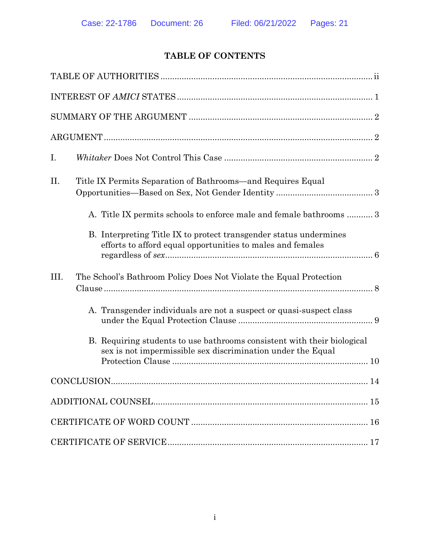# **TABLE OF CONTENTS**

| I.                                                                                                                                                                                                                                                                           |
|------------------------------------------------------------------------------------------------------------------------------------------------------------------------------------------------------------------------------------------------------------------------------|
| II.<br>Title IX Permits Separation of Bathrooms—and Requires Equal<br>A. Title IX permits schools to enforce male and female bathrooms  3<br>B. Interpreting Title IX to protect transgender status undermines<br>efforts to afford equal opportunities to males and females |
| III.<br>The School's Bathroom Policy Does Not Violate the Equal Protection                                                                                                                                                                                                   |
| A. Transgender individuals are not a suspect or quasi-suspect class                                                                                                                                                                                                          |
| B. Requiring students to use bathrooms consistent with their biological<br>sex is not impermissible sex discrimination under the Equal                                                                                                                                       |
|                                                                                                                                                                                                                                                                              |
|                                                                                                                                                                                                                                                                              |
|                                                                                                                                                                                                                                                                              |
|                                                                                                                                                                                                                                                                              |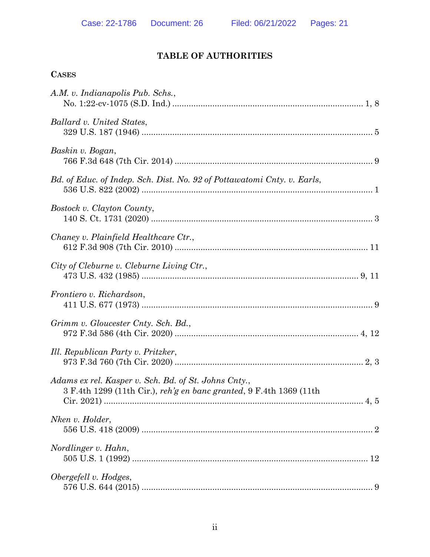# **TABLE OF AUTHORITIES**

| <b>CASES</b>                                                                                                                |
|-----------------------------------------------------------------------------------------------------------------------------|
| A.M. v. Indianapolis Pub. Schs.,                                                                                            |
| Ballard v. United States,                                                                                                   |
| Baskin v. Bogan,                                                                                                            |
| Bd. of Educ. of Indep. Sch. Dist. No. 92 of Pottawatomi Cnty. v. Earls,                                                     |
| Bostock v. Clayton County,                                                                                                  |
| Chaney v. Plainfield Healthcare Ctr.,                                                                                       |
| City of Cleburne v. Cleburne Living Ctr.,                                                                                   |
| Frontiero v. Richardson,                                                                                                    |
| Grimm v. Gloucester Cnty. Sch. Bd.,                                                                                         |
| Ill. Republican Party v. Pritzker,                                                                                          |
| Adams ex rel. Kasper v. Sch. Bd. of St. Johns Cnty.,<br>3 F.4th 1299 (11th Cir.), reh'g en banc granted, 9 F.4th 1369 (11th |
| Nken v. Holder,                                                                                                             |
| Nordlinger v. Hahn,                                                                                                         |
| Obergefell v. Hodges,                                                                                                       |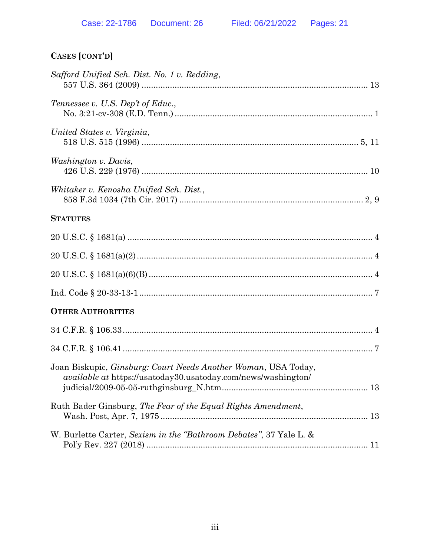# **CASES [CONT'D]**

| Safford Unified Sch. Dist. No. 1 v. Redding,                                                                                                   |  |
|------------------------------------------------------------------------------------------------------------------------------------------------|--|
| Tennessee v. U.S. Dep't of Educ.,                                                                                                              |  |
| United States v. Virginia,                                                                                                                     |  |
| <i>Washington v. Davis,</i>                                                                                                                    |  |
| Whitaker v. Kenosha Unified Sch. Dist.,                                                                                                        |  |
| <b>STATUTES</b>                                                                                                                                |  |
|                                                                                                                                                |  |
|                                                                                                                                                |  |
|                                                                                                                                                |  |
|                                                                                                                                                |  |
| <b>OTHER AUTHORITIES</b>                                                                                                                       |  |
|                                                                                                                                                |  |
|                                                                                                                                                |  |
| Joan Biskupic, <i>Ginsburg: Court Needs Another Woman</i> , USA Today,<br><i>available at https://usatoday30.usatoday.com/news/washington/</i> |  |
| Ruth Bader Ginsburg, The Fear of the Equal Rights Amendment,                                                                                   |  |
| W. Burlette Carter, Sexism in the "Bathroom Debates", 37 Yale L. &                                                                             |  |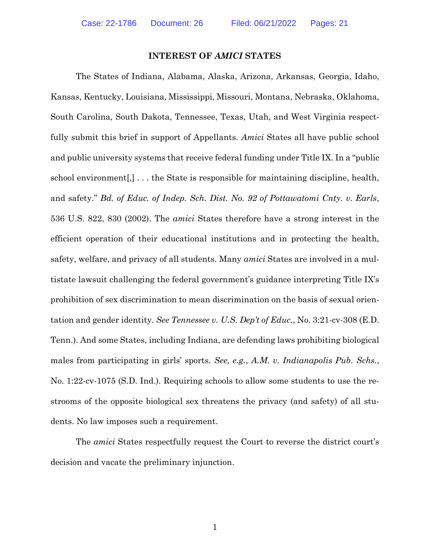#### **INTEREST OF** *AMICI* **STATES**

<span id="page-4-1"></span>The States of Indiana, Alabama, Alaska, Arizona, Arkansas, Georgia, Idaho, Kansas, Kentucky, Louisiana, Mississippi, Missouri, Montana, Nebraska, Oklahoma, South Carolina, South Dakota, Tennessee, Texas, Utah, and West Virginia respectfully submit this brief in support of Appellants. *Amici* States all have public school and public university systems that receive federal funding under Title IX. In a "public school environment[,] . . . the State is responsible for maintaining discipline, health, and safety." *Bd. of Educ. of Indep. Sch. Dist. No. 92 of Pottawatomi Cnty. v. Earls*, 536 U.S. 822, 830 (2002). The *amici* States therefore have a strong interest in the efficient operation of their educational institutions and in protecting the health, safety, welfare, and privacy of all students. Many *amici* States are involved in a multistate lawsuit challenging the federal government's guidance interpreting Title IX's prohibition of sex discrimination to mean discrimination on the basis of sexual orientation and gender identity. *See Tennessee v. U.S. Dep't of Educ.*, No. 3:21-cv-308 (E.D. Tenn.). And some States, including Indiana, are defending laws prohibiting biological males from participating in girls' sports. *See, e.g.*, *A.M. v. Indianapolis Pub. Schs.*, No. 1:22-cv-1075 (S.D. Ind.). Requiring schools to allow some students to use the restrooms of the opposite biological sex threatens the privacy (and safety) of all students. No law imposes such a requirement.

<span id="page-4-2"></span><span id="page-4-0"></span>The *amici* States respectfully request the Court to reverse the district court's decision and vacate the preliminary injunction.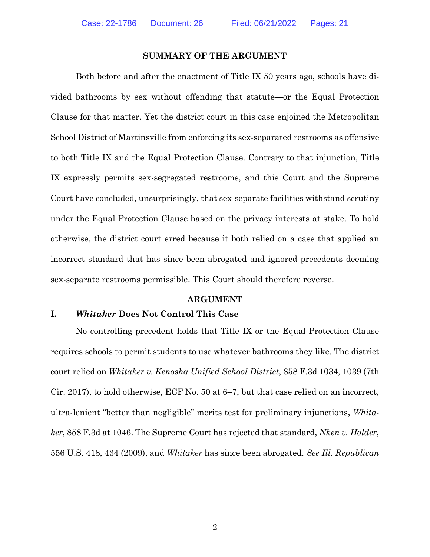#### **SUMMARY OF THE ARGUMENT**

Both before and after the enactment of Title IX 50 years ago, schools have divided bathrooms by sex without offending that statute—or the Equal Protection Clause for that matter. Yet the district court in this case enjoined the Metropolitan School District of Martinsville from enforcing its sex-separated restrooms as offensive to both Title IX and the Equal Protection Clause. Contrary to that injunction, Title IX expressly permits sex-segregated restrooms, and this Court and the Supreme Court have concluded, unsurprisingly, that sex-separate facilities withstand scrutiny under the Equal Protection Clause based on the privacy interests at stake. To hold otherwise, the district court erred because it both relied on a case that applied an incorrect standard that has since been abrogated and ignored precedents deeming sex-separate restrooms permissible. This Court should therefore reverse.

#### <span id="page-5-1"></span><span id="page-5-0"></span>**ARGUMENT**

#### <span id="page-5-2"></span>**I.** *Whitaker* **Does Not Control This Case**

No controlling precedent holds that Title IX or the Equal Protection Clause requires schools to permit students to use whatever bathrooms they like. The district court relied on *Whitaker v. Kenosha Unified School District*, 858 F.3d 1034, 1039 (7th Cir. 2017), to hold otherwise, ECF No. 50 at 6–7, but that case relied on an incorrect, ultra-lenient "better than negligible" merits test for preliminary injunctions, *Whitaker*, 858 F.3d at 1046. The Supreme Court has rejected that standard, *Nken v. Holder*, 556 U.S. 418, 434 (2009), and *Whitaker* has since been abrogated. *See Ill. Republican*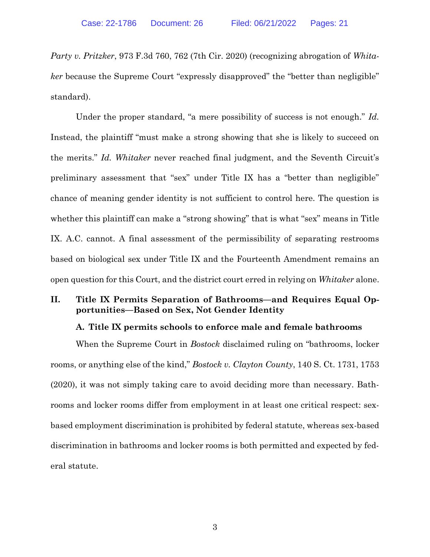*Party v. Pritzker*, 973 F.3d 760, 762 (7th Cir. 2020) (recognizing abrogation of *Whitaker* because the Supreme Court "expressly disapproved" the "better than negligible" standard).

<span id="page-6-1"></span>Under the proper standard, "a mere possibility of success is not enough." *Id.* Instead, the plaintiff "must make a strong showing that she is likely to succeed on the merits." *Id. Whitaker* never reached final judgment, and the Seventh Circuit's preliminary assessment that "sex" under Title IX has a "better than negligible" chance of meaning gender identity is not sufficient to control here. The question is whether this plaintiff can make a "strong showing" that is what "sex" means in Title IX. A.C. cannot. A final assessment of the permissibility of separating restrooms based on biological sex under Title IX and the Fourteenth Amendment remains an open question for this Court, and the district court erred in relying on *Whitaker* alone.

#### **II. Title IX Permits Separation of Bathrooms—and Requires Equal Opportunities—Based on Sex, Not Gender Identity**

#### <span id="page-6-0"></span>**A. Title IX permits schools to enforce male and female bathrooms**

When the Supreme Court in *Bostock* disclaimed ruling on "bathrooms, locker rooms, or anything else of the kind," *Bostock v. Clayton County*, 140 S. Ct. 1731, 1753 (2020), it was not simply taking care to avoid deciding more than necessary. Bathrooms and locker rooms differ from employment in at least one critical respect: sexbased employment discrimination is prohibited by federal statute, whereas sex-based discrimination in bathrooms and locker rooms is both permitted and expected by federal statute.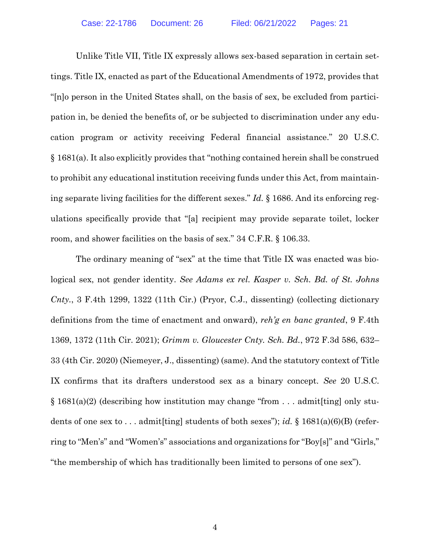<span id="page-7-2"></span>Unlike Title VII, Title IX expressly allows sex-based separation in certain settings. Title IX, enacted as part of the Educational Amendments of 1972, provides that "[n]o person in the United States shall, on the basis of sex, be excluded from participation in, be denied the benefits of, or be subjected to discrimination under any education program or activity receiving Federal financial assistance." 20 U.S.C. § 1681(a). It also explicitly provides that "nothing contained herein shall be construed to prohibit any educational institution receiving funds under this Act, from maintaining separate living facilities for the different sexes." *Id.* § 1686. And its enforcing regulations specifically provide that "[a] recipient may provide separate toilet, locker room, and shower facilities on the basis of sex." 34 C.F.R. § 106.33.

<span id="page-7-5"></span><span id="page-7-4"></span><span id="page-7-3"></span><span id="page-7-1"></span><span id="page-7-0"></span>The ordinary meaning of "sex" at the time that Title IX was enacted was biological sex, not gender identity. *See Adams ex rel. Kasper v. Sch. Bd. of St. Johns Cnty.*, 3 F.4th 1299, 1322 (11th Cir.) (Pryor, C.J., dissenting) (collecting dictionary definitions from the time of enactment and onward), *reh'g en banc granted*, 9 F.4th 1369, 1372 (11th Cir. 2021); *Grimm v. Gloucester Cnty. Sch. Bd.*, 972 F.3d 586, 632– 33 (4th Cir. 2020) (Niemeyer, J., dissenting) (same). And the statutory context of Title IX confirms that its drafters understood sex as a binary concept. *See* 20 U.S.C.  $\S 1681(a)(2)$  (describing how institution may change "from ... admit[ting] only students of one sex to . . . admit[ting] students of both sexes"); *id.* § 1681(a)(6)(B) (referring to "Men's" and "Women's" associations and organizations for "Boy[s]" and "Girls," "the membership of which has traditionally been limited to persons of one sex").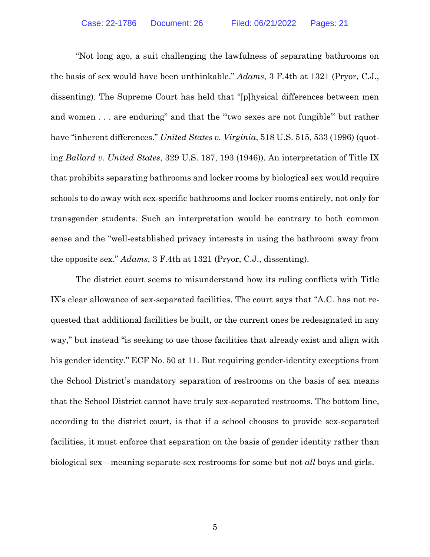<span id="page-8-2"></span><span id="page-8-1"></span><span id="page-8-0"></span>"Not long ago, a suit challenging the lawfulness of separating bathrooms on the basis of sex would have been unthinkable." *Adams*, 3 F.4th at 1321 (Pryor, C.J., dissenting). The Supreme Court has held that "[p]hysical differences between men and women . . . are enduring" and that the "'two sexes are not fungible'" but rather have "inherent differences." *United States v. Virginia*, 518 U.S. 515, 533 (1996) (quoting *Ballard v. United States*, 329 U.S. 187, 193 (1946)). An interpretation of Title IX that prohibits separating bathrooms and locker rooms by biological sex would require schools to do away with sex-specific bathrooms and locker rooms entirely, not only for transgender students. Such an interpretation would be contrary to both common sense and the "well-established privacy interests in using the bathroom away from the opposite sex." *Adams*, 3 F.4th at 1321 (Pryor, C.J., dissenting).

The district court seems to misunderstand how its ruling conflicts with Title IX's clear allowance of sex-separated facilities. The court says that "A.C. has not requested that additional facilities be built, or the current ones be redesignated in any way," but instead "is seeking to use those facilities that already exist and align with his gender identity." ECF No. 50 at 11. But requiring gender-identity exceptions from the School District's mandatory separation of restrooms on the basis of sex means that the School District cannot have truly sex-separated restrooms. The bottom line, according to the district court, is that if a school chooses to provide sex-separated facilities, it must enforce that separation on the basis of gender identity rather than biological sex—meaning separate-sex restrooms for some but not *all* boys and girls.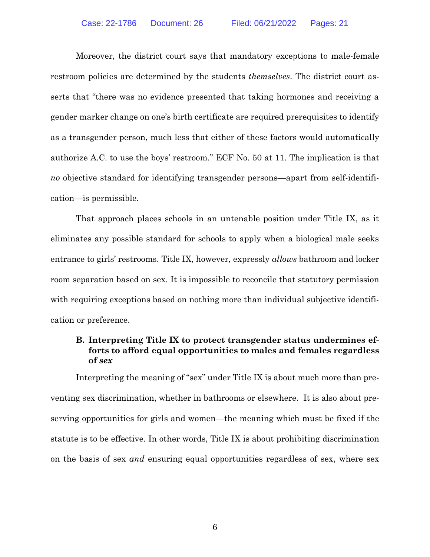Moreover, the district court says that mandatory exceptions to male-female restroom policies are determined by the students *themselves*. The district court asserts that "there was no evidence presented that taking hormones and receiving a gender marker change on one's birth certificate are required prerequisites to identify as a transgender person, much less that either of these factors would automatically authorize A.C. to use the boys' restroom." ECF No. 50 at 11. The implication is that *no* objective standard for identifying transgender persons—apart from self-identification—is permissible.

That approach places schools in an untenable position under Title IX, as it eliminates any possible standard for schools to apply when a biological male seeks entrance to girls' restrooms. Title IX, however, expressly *allows* bathroom and locker room separation based on sex. It is impossible to reconcile that statutory permission with requiring exceptions based on nothing more than individual subjective identification or preference.

### **B. Interpreting Title IX to protect transgender status undermines efforts to afford equal opportunities to males and females regardless of** *sex*

Interpreting the meaning of "sex" under Title IX is about much more than preventing sex discrimination, whether in bathrooms or elsewhere. It is also about preserving opportunities for girls and women—the meaning which must be fixed if the statute is to be effective. In other words, Title IX is about prohibiting discrimination on the basis of sex *and* ensuring equal opportunities regardless of sex, where sex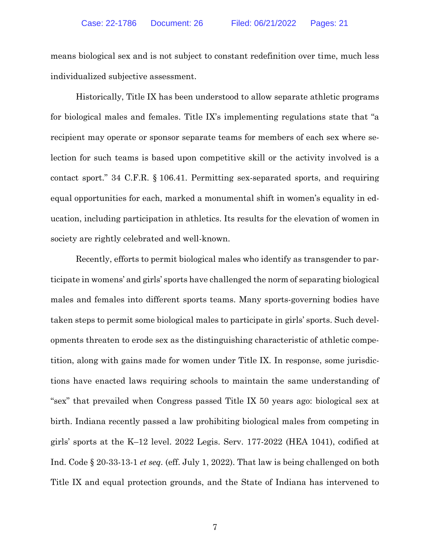means biological sex and is not subject to constant redefinition over time, much less individualized subjective assessment.

<span id="page-10-1"></span>Historically, Title IX has been understood to allow separate athletic programs for biological males and females. Title IX's implementing regulations state that "a recipient may operate or sponsor separate teams for members of each sex where selection for such teams is based upon competitive skill or the activity involved is a contact sport." 34 C.F.R. § 106.41. Permitting sex-separated sports, and requiring equal opportunities for each, marked a monumental shift in women's equality in education, including participation in athletics. Its results for the elevation of women in society are rightly celebrated and well-known.

<span id="page-10-0"></span>Recently, efforts to permit biological males who identify as transgender to participate in womens' and girls' sports have challenged the norm of separating biological males and females into different sports teams. Many sports-governing bodies have taken steps to permit some biological males to participate in girls' sports. Such developments threaten to erode sex as the distinguishing characteristic of athletic competition, along with gains made for women under Title IX. In response, some jurisdictions have enacted laws requiring schools to maintain the same understanding of "sex" that prevailed when Congress passed Title IX 50 years ago: biological sex at birth. Indiana recently passed a law prohibiting biological males from competing in girls' sports at the K–12 level. 2022 Legis. Serv. 177-2022 (HEA 1041), codified at Ind. Code § 20-33-13-1 *et seq.* (eff. July 1, 2022). That law is being challenged on both Title IX and equal protection grounds, and the State of Indiana has intervened to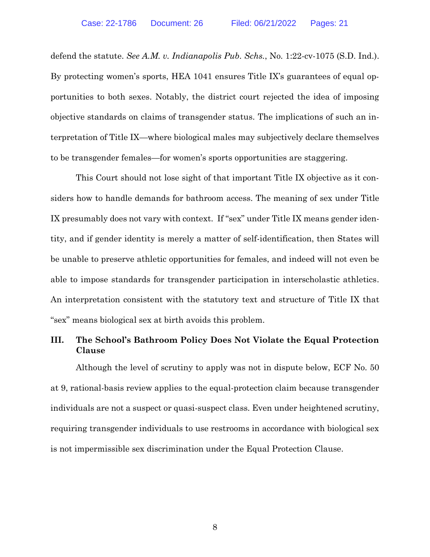<span id="page-11-0"></span>defend the statute. *See A.M. v. Indianapolis Pub. Schs.*, No. 1:22-cv-1075 (S.D. Ind.). By protecting women's sports, HEA 1041 ensures Title IX's guarantees of equal opportunities to both sexes. Notably, the district court rejected the idea of imposing objective standards on claims of transgender status. The implications of such an interpretation of Title IX—where biological males may subjectively declare themselves to be transgender females—for women's sports opportunities are staggering.

This Court should not lose sight of that important Title IX objective as it considers how to handle demands for bathroom access. The meaning of sex under Title IX presumably does not vary with context. If "sex" under Title IX means gender identity, and if gender identity is merely a matter of self-identification, then States will be unable to preserve athletic opportunities for females, and indeed will not even be able to impose standards for transgender participation in interscholastic athletics. An interpretation consistent with the statutory text and structure of Title IX that "sex" means biological sex at birth avoids this problem.

## **III. The School's Bathroom Policy Does Not Violate the Equal Protection Clause**

Although the level of scrutiny to apply was not in dispute below, ECF No. 50 at 9, rational-basis review applies to the equal-protection claim because transgender individuals are not a suspect or quasi-suspect class. Even under heightened scrutiny, requiring transgender individuals to use restrooms in accordance with biological sex is not impermissible sex discrimination under the Equal Protection Clause.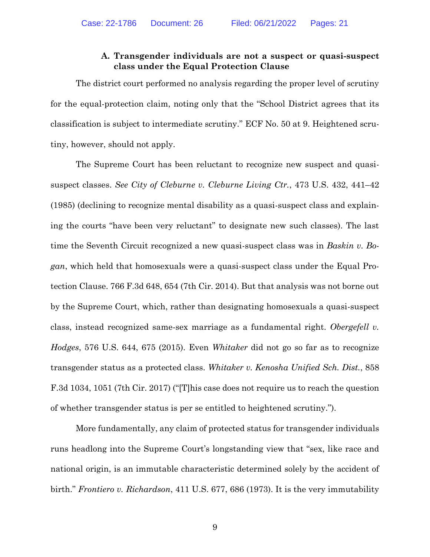#### **A. Transgender individuals are not a suspect or quasi-suspect class under the Equal Protection Clause**

The district court performed no analysis regarding the proper level of scrutiny for the equal-protection claim, noting only that the "School District agrees that its classification is subject to intermediate scrutiny." ECF No. 50 at 9. Heightened scrutiny, however, should not apply.

<span id="page-12-1"></span><span id="page-12-0"></span>The Supreme Court has been reluctant to recognize new suspect and quasisuspect classes. *See City of Cleburne v. Cleburne Living Ctr.*, 473 U.S. 432, 441–42 (1985) (declining to recognize mental disability as a quasi-suspect class and explaining the courts "have been very reluctant" to designate new such classes). The last time the Seventh Circuit recognized a new quasi-suspect class was in *Baskin v. Bogan*, which held that homosexuals were a quasi-suspect class under the Equal Protection Clause. 766 F.3d 648, 654 (7th Cir. 2014). But that analysis was not borne out by the Supreme Court, which, rather than designating homosexuals a quasi-suspect class, instead recognized same-sex marriage as a fundamental right. *Obergefell v. Hodges*, 576 U.S. 644, 675 (2015). Even *Whitaker* did not go so far as to recognize transgender status as a protected class. *Whitaker v. Kenosha Unified Sch. Dist.*, 858 F.3d 1034, 1051 (7th Cir. 2017) ("[T]his case does not require us to reach the question of whether transgender status is per se entitled to heightened scrutiny.").

<span id="page-12-4"></span><span id="page-12-3"></span><span id="page-12-2"></span>More fundamentally, any claim of protected status for transgender individuals runs headlong into the Supreme Court's longstanding view that "sex, like race and national origin, is an immutable characteristic determined solely by the accident of birth." *Frontiero v. Richardson*, 411 U.S. 677, 686 (1973). It is the very immutability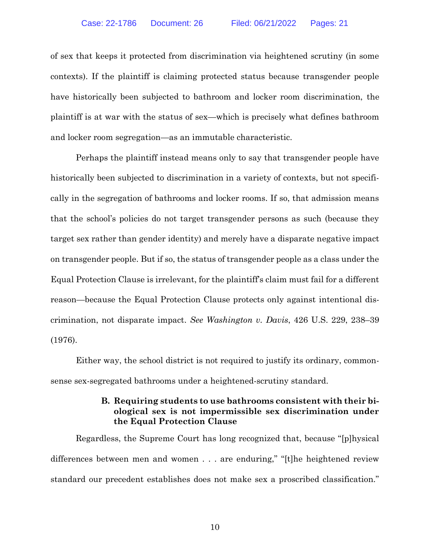of sex that keeps it protected from discrimination via heightened scrutiny (in some contexts). If the plaintiff is claiming protected status because transgender people have historically been subjected to bathroom and locker room discrimination, the plaintiff is at war with the status of sex—which is precisely what defines bathroom and locker room segregation—as an immutable characteristic.

Perhaps the plaintiff instead means only to say that transgender people have historically been subjected to discrimination in a variety of contexts, but not specifically in the segregation of bathrooms and locker rooms. If so, that admission means that the school's policies do not target transgender persons as such (because they target sex rather than gender identity) and merely have a disparate negative impact on transgender people. But if so, the status of transgender people as a class under the Equal Protection Clause is irrelevant, for the plaintiff's claim must fail for a different reason—because the Equal Protection Clause protects only against intentional discrimination, not disparate impact. *See Washington v. Davis*, 426 U.S. 229, 238–39 (1976).

Either way, the school district is not required to justify its ordinary, commonsense sex-segregated bathrooms under a heightened-scrutiny standard.

#### <span id="page-13-0"></span>**B. Requiring students to use bathrooms consistent with their biological sex is not impermissible sex discrimination under the Equal Protection Clause**

Regardless, the Supreme Court has long recognized that, because "[p]hysical differences between men and women . . . are enduring," "[t]he heightened review standard our precedent establishes does not make sex a proscribed classification."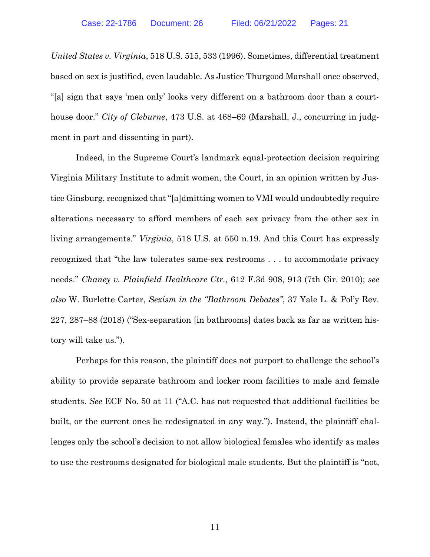<span id="page-14-2"></span>*United States v. Virginia*, 518 U.S. 515, 533 (1996). Sometimes, differential treatment based on sex is justified, even laudable. As Justice Thurgood Marshall once observed, "[a] sign that says 'men only' looks very different on a bathroom door than a courthouse door." *City of Cleburne*, 473 U.S. at 468–69 (Marshall, J., concurring in judgment in part and dissenting in part).

<span id="page-14-1"></span>Indeed, in the Supreme Court's landmark equal-protection decision requiring Virginia Military Institute to admit women, the Court, in an opinion written by Justice Ginsburg, recognized that "[a]dmitting women to VMI would undoubtedly require alterations necessary to afford members of each sex privacy from the other sex in living arrangements." *Virginia*, 518 U.S. at 550 n.19. And this Court has expressly recognized that "the law tolerates same-sex restrooms . . . to accommodate privacy needs." *Chaney v. Plainfield Healthcare Ctr.*, 612 F.3d 908, 913 (7th Cir. 2010); *see also* W. Burlette Carter, *Sexism in the "Bathroom Debates"*, 37 Yale L. & Pol'y Rev. 227, 287–88 (2018) ("Sex-separation [in bathrooms] dates back as far as written history will take us.").

<span id="page-14-3"></span><span id="page-14-0"></span>Perhaps for this reason, the plaintiff does not purport to challenge the school's ability to provide separate bathroom and locker room facilities to male and female students. *See* ECF No. 50 at 11 ("A.C. has not requested that additional facilities be built, or the current ones be redesignated in any way."). Instead, the plaintiff challenges only the school's decision to not allow biological females who identify as males to use the restrooms designated for biological male students. But the plaintiff is "not,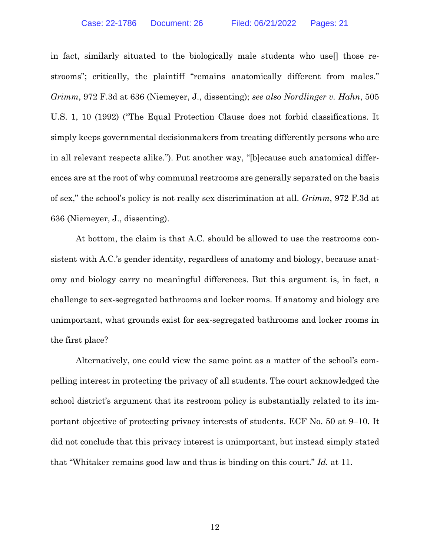<span id="page-15-1"></span><span id="page-15-0"></span>in fact, similarly situated to the biologically male students who use[] those restrooms"; critically, the plaintiff "remains anatomically different from males." *Grimm*, 972 F.3d at 636 (Niemeyer, J., dissenting); *see also Nordlinger v. Hahn*, 505 U.S. 1, 10 (1992) ("The Equal Protection Clause does not forbid classifications. It simply keeps governmental decisionmakers from treating differently persons who are in all relevant respects alike."). Put another way, "[b]ecause such anatomical differences are at the root of why communal restrooms are generally separated on the basis of sex," the school's policy is not really sex discrimination at all. *Grimm*, 972 F.3d at 636 (Niemeyer, J., dissenting).

At bottom, the claim is that A.C. should be allowed to use the restrooms consistent with A.C.'s gender identity, regardless of anatomy and biology, because anatomy and biology carry no meaningful differences. But this argument is, in fact, a challenge to sex-segregated bathrooms and locker rooms. If anatomy and biology are unimportant, what grounds exist for sex-segregated bathrooms and locker rooms in the first place?

Alternatively, one could view the same point as a matter of the school's compelling interest in protecting the privacy of all students. The court acknowledged the school district's argument that its restroom policy is substantially related to its important objective of protecting privacy interests of students. ECF No. 50 at 9–10. It did not conclude that this privacy interest is unimportant, but instead simply stated that "Whitaker remains good law and thus is binding on this court." *Id.* at 11.

12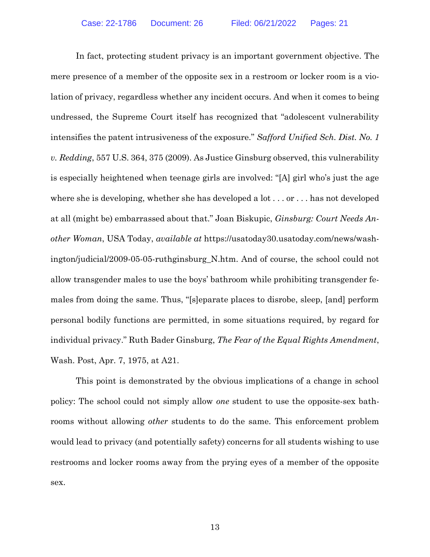<span id="page-16-1"></span><span id="page-16-0"></span>In fact, protecting student privacy is an important government objective. The mere presence of a member of the opposite sex in a restroom or locker room is a violation of privacy, regardless whether any incident occurs. And when it comes to being undressed, the Supreme Court itself has recognized that "adolescent vulnerability intensifies the patent intrusiveness of the exposure." *Safford Unified Sch. Dist. No. 1 v. Redding*, 557 U.S. 364, 375 (2009). As Justice Ginsburg observed, this vulnerability is especially heightened when teenage girls are involved: "[A] girl who's just the age where she is developing, whether she has developed a lot . . . or . . . has not developed at all (might be) embarrassed about that." Joan Biskupic, *Ginsburg: Court Needs Another Woman*, USA Today, *available at* https://usatoday30.usatoday.com/news/washington/judicial/2009-05-05-ruthginsburg\_N.htm. And of course, the school could not allow transgender males to use the boys' bathroom while prohibiting transgender females from doing the same. Thus, "[s]eparate places to disrobe, sleep, [and] perform personal bodily functions are permitted, in some situations required, by regard for individual privacy." Ruth Bader Ginsburg, *The Fear of the Equal Rights Amendment*, Wash. Post, Apr. 7, 1975, at A21.

<span id="page-16-2"></span>This point is demonstrated by the obvious implications of a change in school policy: The school could not simply allow *one* student to use the opposite-sex bathrooms without allowing *other* students to do the same. This enforcement problem would lead to privacy (and potentially safety) concerns for all students wishing to use restrooms and locker rooms away from the prying eyes of a member of the opposite sex.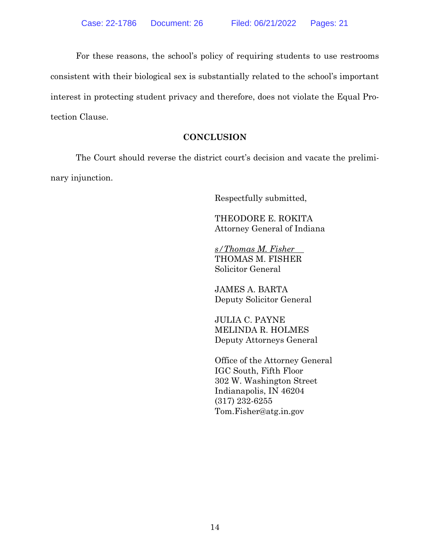For these reasons, the school's policy of requiring students to use restrooms consistent with their biological sex is substantially related to the school's important interest in protecting student privacy and therefore, does not violate the Equal Protection Clause.

### **CONCLUSION**

The Court should reverse the district court's decision and vacate the preliminary injunction.

Respectfully submitted,

THEODORE E. ROKITA Attorney General of Indiana

*s/Thomas M. Fisher* THOMAS M. FISHER Solicitor General

JAMES A. BARTA Deputy Solicitor General

JULIA C. PAYNE MELINDA R. HOLMES Deputy Attorneys General

Office of the Attorney General IGC South, Fifth Floor 302 W. Washington Street Indianapolis, IN 46204 (317) 232-6255 Tom.Fisher@atg.in.gov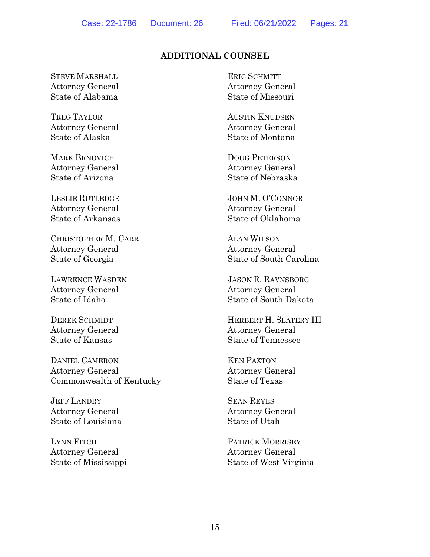## **ADDITIONAL COUNSEL**

STEVE MARSHALL Attorney General State of Alabama

TREG TAYLOR Attorney General State of Alaska

MARK BRNOVICH Attorney General State of Arizona

LESLIE RUTLEDGE Attorney General State of Arkansas

CHRISTOPHER M. CARR Attorney General State of Georgia

LAWRENCE WASDEN Attorney General State of Idaho

DEREK SCHMIDT Attorney General State of Kansas

DANIEL CAMERON Attorney General Commonwealth of Kentucky

JEFF LANDRY Attorney General State of Louisiana

LYNN FITCH Attorney General State of Mississippi ERIC SCHMITT Attorney General State of Missouri

AUSTIN KNUDSEN Attorney General State of Montana

DOUG PETERSON Attorney General State of Nebraska

JOHN M. O'CONNOR Attorney General State of Oklahoma

ALAN WILSON Attorney General State of South Carolina

JASON R. RAVNSBORG Attorney General State of South Dakota

HERBERT H. SLATERY III Attorney General State of Tennessee

KEN PAXTON Attorney General State of Texas

SEAN REYES Attorney General State of Utah

PATRICK MORRISEY Attorney General State of West Virginia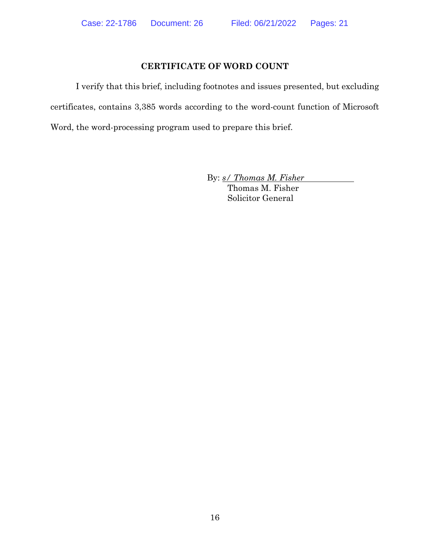#### **CERTIFICATE OF WORD COUNT**

I verify that this brief, including footnotes and issues presented, but excluding certificates, contains 3,385 words according to the word-count function of Microsoft Word, the word-processing program used to prepare this brief.

By: *s/ Thomas M. Fisher*

Thomas M. Fisher Solicitor General